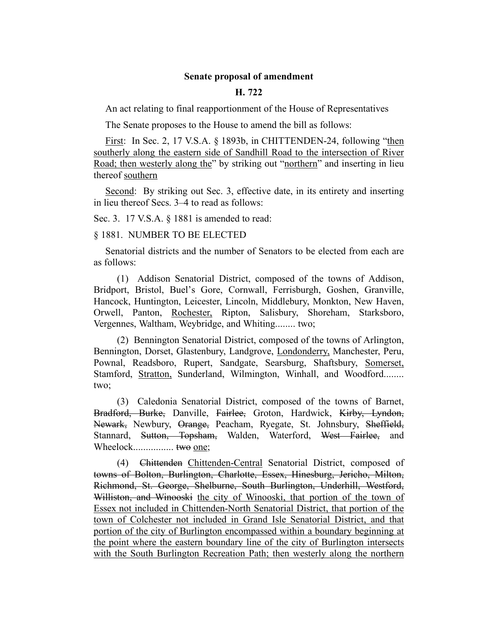## **Senate proposal of amendment**

## **H. 722**

An act relating to final reapportionment of the House of Representatives

The Senate proposes to the House to amend the bill as follows:

First: In Sec. 2, 17 V.S.A. § 1893b, in CHITTENDEN-24, following "then southerly along the eastern side of Sandhill Road to the intersection of River Road; then westerly along the" by striking out "northern" and inserting in lieu thereof southern

Second: By striking out Sec. 3, effective date, in its entirety and inserting in lieu thereof Secs. 3–4 to read as follows:

Sec. 3. 17 V.S.A. § 1881 is amended to read:

§ 1881. NUMBER TO BE ELECTED

Senatorial districts and the number of Senators to be elected from each are as follows:

(1) Addison Senatorial District, composed of the towns of Addison, Bridport, Bristol, Buel's Gore, Cornwall, Ferrisburgh, Goshen, Granville, Hancock, Huntington, Leicester, Lincoln, Middlebury, Monkton, New Haven, Orwell, Panton, Rochester, Ripton, Salisbury, Shoreham, Starksboro, Vergennes, Waltham, Weybridge, and Whiting........ two;

(2) Bennington Senatorial District, composed of the towns of Arlington, Bennington, Dorset, Glastenbury, Landgrove, Londonderry, Manchester, Peru, Pownal, Readsboro, Rupert, Sandgate, Searsburg, Shaftsbury, Somerset, Stamford, **Stratton**, Sunderland, Wilmington, Winhall, and Woodford........ two;

(3) Caledonia Senatorial District, composed of the towns of Barnet, Bradford, Burke, Danville, Fairlee, Groton, Hardwick, Kirby, Lyndon, Newark, Newbury, Orange, Peacham, Ryegate, St. Johnsbury, Sheffield, Stannard, Sutton, Topsham, Walden, Waterford, West Fairlee, and Wheelock................. two one;

(4) Chittenden Chittenden-Central Senatorial District, composed of towns of Bolton, Burlington, Charlotte, Essex, Hinesburg, Jericho, Milton, Richmond, St. George, Shelburne, South Burlington, Underhill, Westford, Williston, and Winooski the city of Winooski, that portion of the town of Essex not included in Chittenden-North Senatorial District, that portion of the town of Colchester not included in Grand Isle Senatorial District, and that portion of the city of Burlington encompassed within a boundary beginning at the point where the eastern boundary line of the city of Burlington intersects with the South Burlington Recreation Path; then westerly along the northern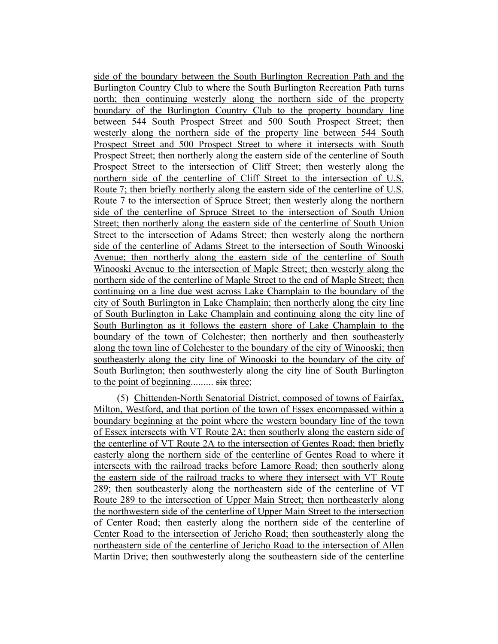side of the boundary between the South Burlington Recreation Path and the Burlington Country Club to where the South Burlington Recreation Path turns north; then continuing westerly along the northern side of the property boundary of the Burlington Country Club to the property boundary line between 544 South Prospect Street and 500 South Prospect Street; then westerly along the northern side of the property line between 544 South Prospect Street and 500 Prospect Street to where it intersects with South Prospect Street; then northerly along the eastern side of the centerline of South Prospect Street to the intersection of Cliff Street; then westerly along the northern side of the centerline of Cliff Street to the intersection of U.S. Route 7; then briefly northerly along the eastern side of the centerline of U.S. Route 7 to the intersection of Spruce Street; then westerly along the northern side of the centerline of Spruce Street to the intersection of South Union Street; then northerly along the eastern side of the centerline of South Union Street to the intersection of Adams Street; then westerly along the northern side of the centerline of Adams Street to the intersection of South Winooski Avenue; then northerly along the eastern side of the centerline of South Winooski Avenue to the intersection of Maple Street; then westerly along the northern side of the centerline of Maple Street to the end of Maple Street; then continuing on a line due west across Lake Champlain to the boundary of the city of South Burlington in Lake Champlain; then northerly along the city line of South Burlington in Lake Champlain and continuing along the city line of South Burlington as it follows the eastern shore of Lake Champlain to the boundary of the town of Colchester; then northerly and then southeasterly along the town line of Colchester to the boundary of the city of Winooski; then southeasterly along the city line of Winooski to the boundary of the city of South Burlington; then southwesterly along the city line of South Burlington to the point of beginning......... six three;

(5) Chittenden-North Senatorial District, composed of towns of Fairfax, Milton, Westford, and that portion of the town of Essex encompassed within a boundary beginning at the point where the western boundary line of the town of Essex intersects with VT Route 2A; then southerly along the eastern side of the centerline of VT Route 2A to the intersection of Gentes Road; then briefly easterly along the northern side of the centerline of Gentes Road to where it intersects with the railroad tracks before Lamore Road; then southerly along the eastern side of the railroad tracks to where they intersect with VT Route 289; then southeasterly along the northeastern side of the centerline of VT Route 289 to the intersection of Upper Main Street; then northeasterly along the northwestern side of the centerline of Upper Main Street to the intersection of Center Road; then easterly along the northern side of the centerline of Center Road to the intersection of Jericho Road; then southeasterly along the northeastern side of the centerline of Jericho Road to the intersection of Allen Martin Drive; then southwesterly along the southeastern side of the centerline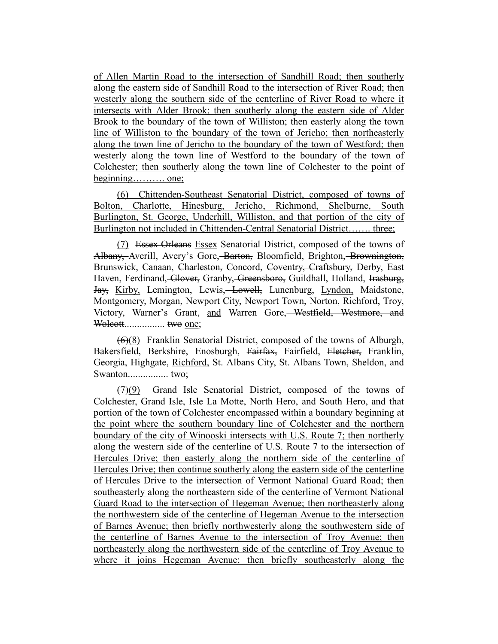of Allen Martin Road to the intersection of Sandhill Road; then southerly along the eastern side of Sandhill Road to the intersection of River Road; then westerly along the southern side of the centerline of River Road to where it intersects with Alder Brook; then southerly along the eastern side of Alder Brook to the boundary of the town of Williston; then easterly along the town line of Williston to the boundary of the town of Jericho; then northeasterly along the town line of Jericho to the boundary of the town of Westford; then westerly along the town line of Westford to the boundary of the town of Colchester; then southerly along the town line of Colchester to the point of beginning………. one;

(6) Chittenden-Southeast Senatorial District, composed of towns of Bolton, Charlotte, Hinesburg, Jericho, Richmond, Shelburne, South Burlington, St. George, Underhill, Williston, and that portion of the city of Burlington not included in Chittenden-Central Senatorial District……. three;

(7) Essex-Orleans Essex Senatorial District, composed of the towns of Albany, Averill, Avery's Gore, Barton, Bloomfield, Brighton, Brownington, Brunswick, Canaan, Charleston, Concord, Coventry, Craftsbury, Derby, East Haven, Ferdinand, Glover, Granby, Greensboro, Guildhall, Holland, Irasburg, Jay, Kirby, Lemington, Lewis, Lowell, Lunenburg, Lyndon, Maidstone, Montgomery, Morgan, Newport City, Newport Town, Norton, Richford, Troy, Victory, Warner's Grant, and Warren Gore, Westfield, Westmore, and Wolcott................ two one;

(6)(8) Franklin Senatorial District, composed of the towns of Alburgh, Bakersfield, Berkshire, Enosburgh, Fairfax, Fairfield, Fletcher, Franklin, Georgia, Highgate, Richford, St. Albans City, St. Albans Town, Sheldon, and Swanton................ two;

(7)(9) Grand Isle Senatorial District, composed of the towns of Colchester, Grand Isle, Isle La Motte, North Hero, and South Hero, and that portion of the town of Colchester encompassed within a boundary beginning at the point where the southern boundary line of Colchester and the northern boundary of the city of Winooski intersects with U.S. Route 7; then northerly along the western side of the centerline of U.S. Route 7 to the intersection of Hercules Drive; then easterly along the northern side of the centerline of Hercules Drive; then continue southerly along the eastern side of the centerline of Hercules Drive to the intersection of Vermont National Guard Road; then southeasterly along the northeastern side of the centerline of Vermont National Guard Road to the intersection of Hegeman Avenue; then northeasterly along the northwestern side of the centerline of Hegeman Avenue to the intersection of Barnes Avenue; then briefly northwesterly along the southwestern side of the centerline of Barnes Avenue to the intersection of Troy Avenue; then northeasterly along the northwestern side of the centerline of Troy Avenue to where it joins Hegeman Avenue; then briefly southeasterly along the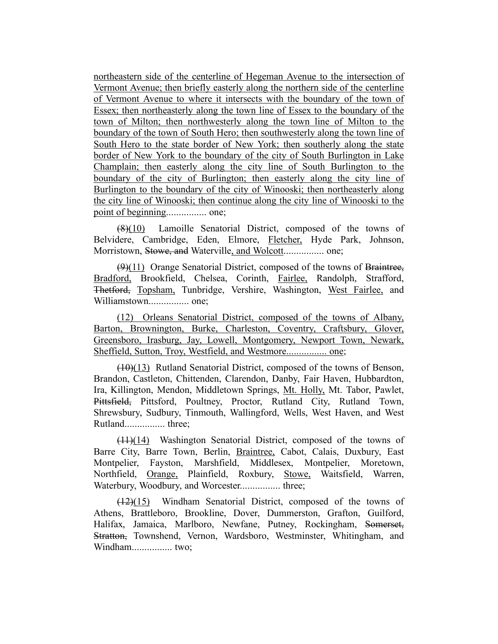northeastern side of the centerline of Hegeman Avenue to the intersection of Vermont Avenue; then briefly easterly along the northern side of the centerline of Vermont Avenue to where it intersects with the boundary of the town of Essex; then northeasterly along the town line of Essex to the boundary of the town of Milton; then northwesterly along the town line of Milton to the boundary of the town of South Hero; then southwesterly along the town line of South Hero to the state border of New York; then southerly along the state border of New York to the boundary of the city of South Burlington in Lake Champlain; then easterly along the city line of South Burlington to the boundary of the city of Burlington; then easterly along the city line of Burlington to the boundary of the city of Winooski; then northeasterly along the city line of Winooski; then continue along the city line of Winooski to the point of beginning................ one;

 $(8)(10)$  Lamoille Senatorial District, composed of the towns of Belvidere, Cambridge, Eden, Elmore, Fletcher, Hyde Park, Johnson, Morristown, Stowe, and Waterville, and Wolcott................ one;

 $(9)(11)$  Orange Senatorial District, composed of the towns of Braintree, Bradford, Brookfield, Chelsea, Corinth, Fairlee, Randolph, Strafford, Thetford, Topsham, Tunbridge, Vershire, Washington, West Fairlee, and Williamstown................ one;

(12) Orleans Senatorial District, composed of the towns of Albany, Barton, Brownington, Burke, Charleston, Coventry, Craftsbury, Glover, Greensboro, Irasburg, Jay, Lowell, Montgomery, Newport Town, Newark, Sheffield, Sutton, Troy, Westfield, and Westmore................ one;

(10)(13) Rutland Senatorial District, composed of the towns of Benson, Brandon, Castleton, Chittenden, Clarendon, Danby, Fair Haven, Hubbardton, Ira, Killington, Mendon, Middletown Springs, Mt. Holly, Mt. Tabor, Pawlet, Pittsfield, Pittsford, Poultney, Proctor, Rutland City, Rutland Town, Shrewsbury, Sudbury, Tinmouth, Wallingford, Wells, West Haven, and West Rutland................ three;

(11)(14) Washington Senatorial District, composed of the towns of Barre City, Barre Town, Berlin, Braintree, Cabot, Calais, Duxbury, East Montpelier, Fayston, Marshfield, Middlesex, Montpelier, Moretown, Northfield, Orange, Plainfield, Roxbury, Stowe, Waitsfield, Warren, Waterbury, Woodbury, and Worcester................ three;

(12)(15) Windham Senatorial District, composed of the towns of Athens, Brattleboro, Brookline, Dover, Dummerston, Grafton, Guilford, Halifax, Jamaica, Marlboro, Newfane, Putney, Rockingham, Somerset, Stratton, Townshend, Vernon, Wardsboro, Westminster, Whitingham, and Windham................ two;